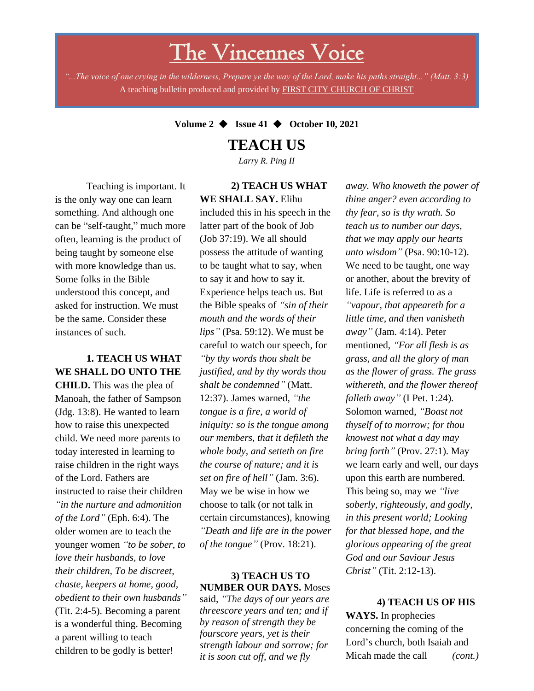# The Vincennes Voice

*"...The voice of one crying in the wilderness, Prepare ye the way of the Lord, make his paths straight..." (Matt. 3:3)* A teaching bulletin produced and provided by FIRST CITY CHURCH OF CHRIST

#### **Volume 2** ◆ **Issue 41** ◆ **October 10, 2021**

# **TEACH US**

*Larry R. Ping II*

Teaching is important. It is the only way one can learn something. And although one can be "self-taught," much more often, learning is the product of being taught by someone else with more knowledge than us. Some folks in the Bible understood this concept, and asked for instruction. We must be the same. Consider these instances of such.

### **1. TEACH US WHAT WE SHALL DO UNTO THE**

*obedient to their own husbands*" **CHILD.** This was the plea of Manoah, the father of Sampson (Jdg. 13:8). He wanted to learn how to raise this unexpected child. We need more parents to today interested in learning to raise children in the right ways of the Lord. Fathers are instructed to raise their children *"in the nurture and admonition of the Lord"* (Eph. 6:4). The older women are to teach the younger women *"to be sober, to love their husbands, to love their children, To be discreet, chaste, keepers at home, good,*  (Tit. 2:4-5). Becoming a parent is a wonderful thing. Becoming a parent willing to teach children to be godly is better!

#### **2) TEACH US WHAT WE SHALL SAY.** Elihu

included this in his speech in the latter part of the book of Job (Job 37:19). We all should possess the attitude of wanting to be taught what to say, when to say it and how to say it. Experience helps teach us. But the Bible speaks of *"sin of their mouth and the words of their lips"* (Psa. 59:12). We must be careful to watch our speech, for *"by thy words thou shalt be justified, and by thy words thou shalt be condemned"* (Matt. 12:37). James warned, *"the tongue is a fire, a world of iniquity: so is the tongue among our members, that it defileth the whole body, and setteth on fire the course of nature; and it is set on fire of hell"* (Jam. 3:6). May we be wise in how we choose to talk (or not talk in certain circumstances), knowing *"Death and life are in the power of the tongue"* (Prov. 18:21).

#### **3) TEACH US TO NUMBER OUR DAYS.** Moses

said, *"The days of our years are threescore years and ten; and if by reason of strength they be fourscore years, yet is their strength labour and sorrow; for it is soon cut off, and we fly*

*away. Who knoweth the power of thine anger? even according to thy fear, so is thy wrath. So teach us to number our days, that we may apply our hearts unto wisdom"* (Psa. 90:10-12). We need to be taught, one way or another, about the brevity of life. Life is referred to as a *"vapour, that appeareth for a little time, and then vanisheth away"* (Jam. 4:14). Peter mentioned, *"For all flesh is as grass, and all the glory of man as the flower of grass. The grass withereth, and the flower thereof falleth away"* (I Pet. 1:24). Solomon warned, *"Boast not thyself of to morrow; for thou knowest not what a day may bring forth"* (Prov. 27:1). May we learn early and well, our days upon this earth are numbered. This being so, may we *"live soberly, righteously, and godly, in this present world; Looking for that blessed hope, and the glorious appearing of the great God and our Saviour Jesus Christ"* (Tit. 2:12-13).

#### **4) TEACH US OF HIS**

**WAYS.** In prophecies concerning the coming of the Lord's church, both Isaiah and Micah made the call *(cont.)*